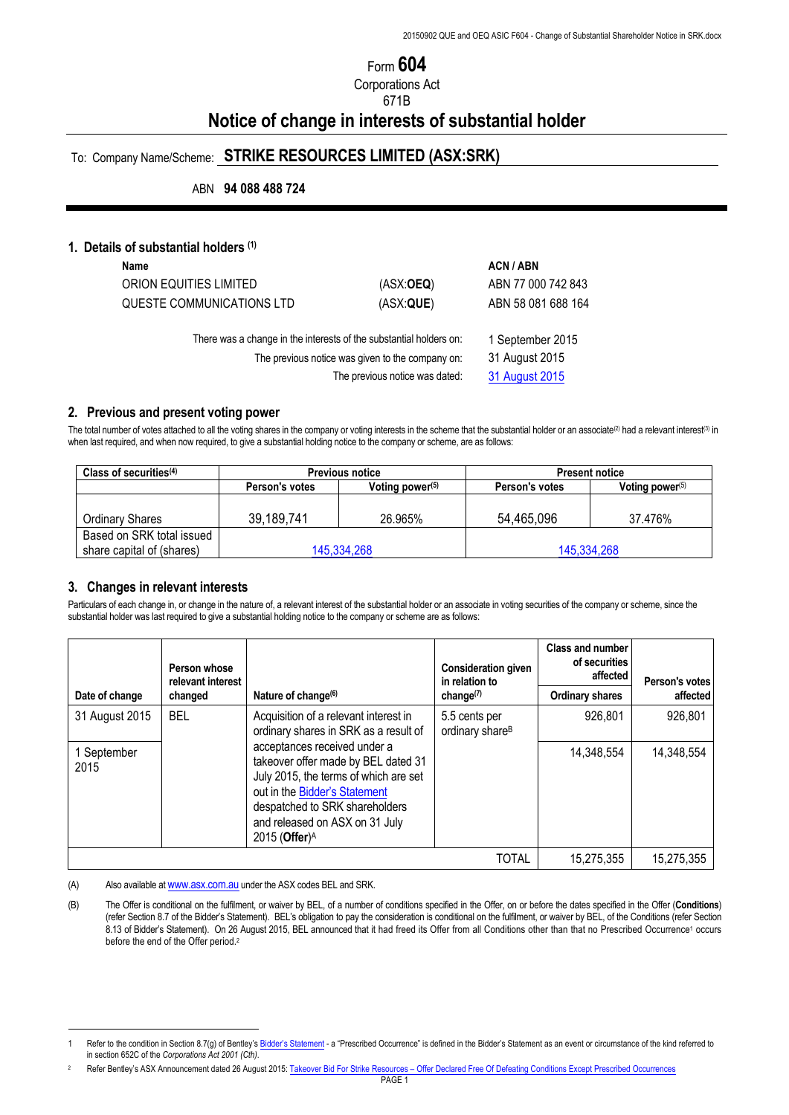# Form **604**

Corporations Act

## 671B

# **Notice of change in interests of substantial holder**

# To: Company Name/Scheme: **STRIKE RESOURCES LIMITED (ASX:SRK)**

ABN **94 088 488 724**

#### **1. Details of substantial holders (1)**

| Name                                                                                                                                                     |                                                      | ACN / ABN          |
|----------------------------------------------------------------------------------------------------------------------------------------------------------|------------------------------------------------------|--------------------|
| ORION EQUITIES LIMITED                                                                                                                                   | (ASK:OEQ)                                            | ABN 77 000 742 843 |
| QUESTE COMMUNICATIONS LTD                                                                                                                                | (ASX:QUE)                                            | ABN 58 081 688 164 |
| There was a change in the interests of the substantial holders on:<br>The previous notice was given to the company on:<br>The previous notice was dated: | 1 September 2015<br>31 August 2015<br>31 August 2015 |                    |

#### **2. Previous and present voting power**

The total number of votes attached to all the voting shares in the company or voting interests in the scheme that the substantial holder or an associate<sup>(2)</sup> had a relevant interest(3) in when last required, and when now required, to give a substantial holding notice to the company or scheme, are as follows:

| Class of securities $(4)$                              | <b>Previous notice</b> |                    | <b>Present notice</b> |                    |  |
|--------------------------------------------------------|------------------------|--------------------|-----------------------|--------------------|--|
|                                                        | Person's votes         | Voting power $(5)$ | Person's votes        | Voting power $(5)$ |  |
| Ordinary Shares                                        | 39,189,741             | 26.965%            | 54,465,096            | 37.476%            |  |
| Based on SRK total issued<br>share capital of (shares) | 145,334,268            |                    | 145,334,268           |                    |  |

#### **3. Changes in relevant interests**

 $\overline{a}$ 

Particulars of each change in, or change in the nature of, a relevant interest of the substantial holder or an associate in voting securities of the company or scheme, since the substantial holder was last required to give a substantial holding notice to the company or scheme are as follows:

|                     | Person whose<br>relevant interest                          |                                                                                                                                                                                                                                       | <b>Consideration given</b><br>in relation to | <b>Class and number</b><br>of securities<br>affected | Person's votes |
|---------------------|------------------------------------------------------------|---------------------------------------------------------------------------------------------------------------------------------------------------------------------------------------------------------------------------------------|----------------------------------------------|------------------------------------------------------|----------------|
| Date of change      | Nature of change <sup>(6)</sup><br>change $(7)$<br>changed |                                                                                                                                                                                                                                       | <b>Ordinary shares</b>                       | affected                                             |                |
| 31 August 2015      | <b>BEL</b>                                                 | Acquisition of a relevant interest in<br>ordinary shares in SRK as a result of                                                                                                                                                        | 5.5 cents per<br>ordinary share <sup>B</sup> | 926,801                                              | 926,801        |
| 1 September<br>2015 |                                                            | acceptances received under a<br>takeover offer made by BEL dated 31<br>July 2015, the terms of which are set<br>out in the Bidder's Statement<br>despatched to SRK shareholders<br>and released on ASX on 31 July<br>2015 (Offer) $A$ |                                              | 14,348,554                                           | 14,348,554     |
|                     |                                                            |                                                                                                                                                                                                                                       | TOTAL                                        | 15,275,355                                           | 15,275,355     |

(A) Also available at www.asx.com.au under the ASX codes BEL and SRK.

(B) The Offer is conditional on the fulfilment, or waiver by BEL, of a number of conditions specified in the Offer, on or before the dates specified in the Offer (**Conditions**) (refer Section 8.7 of the Bidder's Statement). BEL's obligation to pay the consideration is conditional on the fulfilment, or waiver by BEL, of the Conditions (refer Section 8.13 of Bidder's Statement). On 26 August 2015, BEL announced that it had freed its Offer from all Conditions other than that no Prescribed Occurrence<sup>1</sup> occurs before the end of the Offer period.<sup>2</sup>

Refer to the condition in Section 8.7(g) of Bentley's Bidder's Statement - a "Prescribed Occurrence" is defined in the Bidder's Statement as an event or circumstance of the kind referred to in section 652C of the *Corporations Act 2001 (Cth)*.

Refer Bentley's ASX Announcement dated 26 August 2015: Takeover Bid For Strike Resources - Offer Declared Free Of Defeating Conditions Except Prescribed Occurrences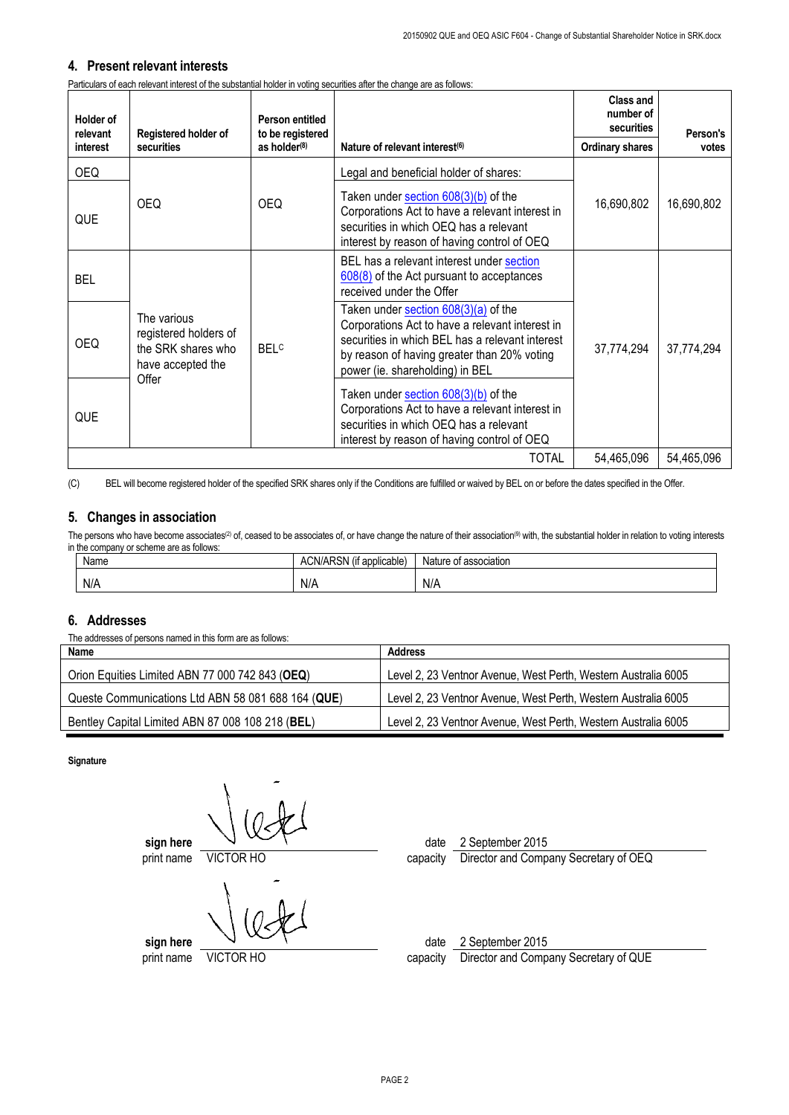## **4. Present relevant interests**

Particulars of each relevant interest of the substantial holder in voting securities after the change are as follows:

| <b>Holder of</b><br>relevant | Registered holder of                                                                     | Person entitled<br>to be registered |                                                                                                                                                                                                                              | <b>Class and</b><br>number of<br>securities | Person's   |
|------------------------------|------------------------------------------------------------------------------------------|-------------------------------------|------------------------------------------------------------------------------------------------------------------------------------------------------------------------------------------------------------------------------|---------------------------------------------|------------|
| interest                     | securities                                                                               | as holder $(8)$                     | Nature of relevant interest <sup>(6)</sup>                                                                                                                                                                                   | <b>Ordinary shares</b>                      | votes      |
| OEQ.                         |                                                                                          |                                     | Legal and beneficial holder of shares:                                                                                                                                                                                       |                                             |            |
| QUE                          | <b>OEQ</b>                                                                               | OEQ.                                | Taken under section $608(3)(b)$ of the<br>Corporations Act to have a relevant interest in<br>securities in which OEQ has a relevant<br>interest by reason of having control of OEQ                                           | 16,690,802                                  | 16,690,802 |
| <b>BEL</b>                   |                                                                                          |                                     | BEL has a relevant interest under section<br>608(8) of the Act pursuant to acceptances<br>received under the Offer                                                                                                           |                                             |            |
| <b>OEQ</b>                   | The various<br>registered holders of<br>the SRK shares who<br>have accepted the<br>Offer | <b>BELC</b>                         | Taken under section 608(3)(a) of the<br>Corporations Act to have a relevant interest in<br>securities in which BEL has a relevant interest<br>by reason of having greater than 20% voting<br>power (ie. shareholding) in BEL | 37,774,294                                  | 37,774,294 |
| QUE                          |                                                                                          |                                     | Taken under section $608(3)(b)$ of the<br>Corporations Act to have a relevant interest in<br>securities in which OEQ has a relevant<br>interest by reason of having control of OEQ                                           |                                             |            |
|                              | <b>TOTAL</b><br>54,465,096                                                               |                                     |                                                                                                                                                                                                                              | 54,465,096                                  |            |

(C) BEL will become registered holder of the specified SRK shares only if the Conditions are fulfilled or waived by BEL on or before the dates specified in the Offer.

## **5. Changes in association**

The persons who have become associates<sup>(2)</sup> of, ceased to be associates of, or have change the nature of their association<sup>(9)</sup> with, the substantial holder in relation to voting interests in the company or scheme are as follows:

| Name | $\cdots$<br>ADON<br>ACN/AP <sup>-</sup><br>t applicable)<br>. ∖ວ™ 1 | Nature of association |
|------|---------------------------------------------------------------------|-----------------------|
| N/A  | N/A                                                                 | N/A                   |

## **6. Addresses**

The addresses of persons named in this form are as follows:

| Name                                               | Address                                                        |
|----------------------------------------------------|----------------------------------------------------------------|
| Orion Equities Limited ABN 77 000 742 843 (OEQ)    | Level 2, 23 Ventnor Avenue, West Perth, Western Australia 6005 |
| Queste Communications Ltd ABN 58 081 688 164 (QUE) | Level 2, 23 Ventnor Avenue, West Perth, Western Australia 6005 |
| Bentley Capital Limited ABN 87 008 108 218 (BEL)   | Level 2, 23 Ventnor Avenue, West Perth, Western Australia 6005 |

**Signature**

**sign here**  $\sqrt{ }$ print name VICTOR HO capacity Director and Company Secretary of OEQ

**sign here**  $\sqrt{2}$ 

print name VICTOR HO capacity Director and Company Secretary of QUE